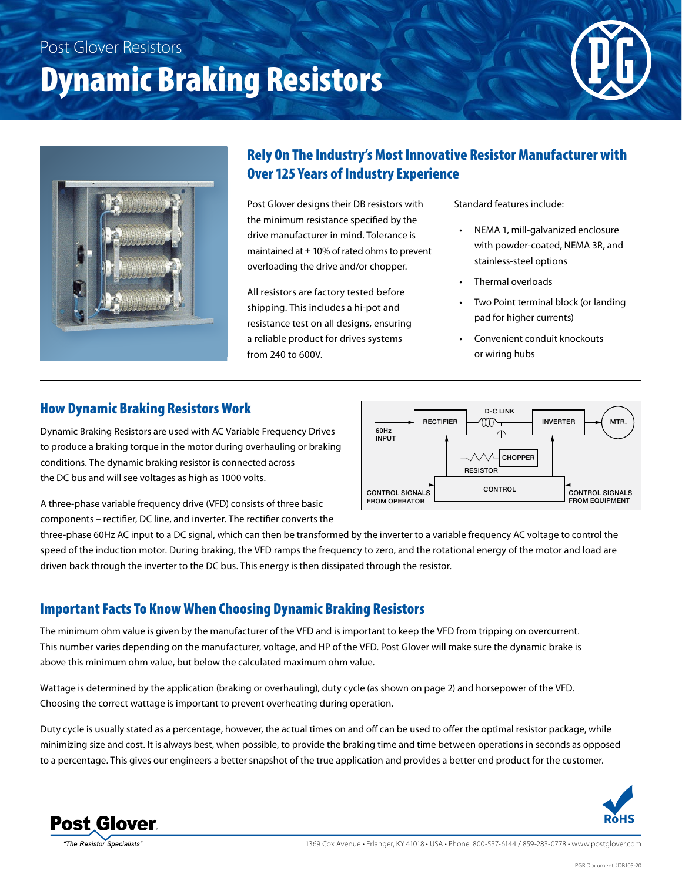## Post Glover Resistors

# Dynamic Braking Resistors





### Rely On The Industry's Most Innovative Resistor Manufacturer with Over 125 Years of Industry Experience

Post Glover designs their DB resistors with the minimum resistance specified by the drive manufacturer in mind. Tolerance is maintained at  $\pm$  10% of rated ohms to prevent overloading the drive and/or chopper.

All resistors are factory tested before shipping. This includes a hi-pot and resistance test on all designs, ensuring a reliable product for drives systems from 240 to 600V.

Standard features include:

- NEMA 1, mill-galvanized enclosure with powder-coated, NEMA 3R, and stainless-steel options
- Thermal overloads
- Two Point terminal block (or landing pad for higher currents)
- Convenient conduit knockouts or wiring hubs

#### How Dynamic Braking Resistors Work

Dynamic Braking Resistors are used with AC Variable Frequency Drives to produce a braking torque in the motor during overhauling or braking conditions. The dynamic braking resistor is connected across the DC bus and will see voltages as high as 1000 volts.



A three-phase variable frequency drive (VFD) consists of three basic components – rectifier, DC line, and inverter. The rectifier converts the

three-phase 60Hz AC input to a DC signal, which can then be transformed by the inverter to a variable frequency AC voltage to control the speed of the induction motor. During braking, the VFD ramps the frequency to zero, and the rotational energy of the motor and load are driven back through the inverter to the DC bus. This energy is then dissipated through the resistor.

#### Important Facts To Know When Choosing Dynamic Braking Resistors

The minimum ohm value is given by the manufacturer of the VFD and is important to keep the VFD from tripping on overcurrent. This number varies depending on the manufacturer, voltage, and HP of the VFD. Post Glover will make sure the dynamic brake is above this minimum ohm value, but below the calculated maximum ohm value.

Wattage is determined by the application (braking or overhauling), duty cycle (as shown on page 2) and horsepower of the VFD. Choosing the correct wattage is important to prevent overheating during operation.

Duty cycle is usually stated as a percentage, however, the actual times on and off can be used to offer the optimal resistor package, while minimizing size and cost. It is always best, when possible, to provide the braking time and time between operations in seconds as opposed to a percentage. This gives our engineers a better snapshot of the true application and provides a better end product for the customer.





The Resistor Specialists